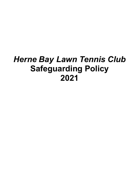# *Herne Bay Lawn Tennis Club* **Safeguarding Policy 2021**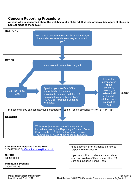### **Concern Reporting Procedure**

**Anyone who is concerned about the well-being of a child/ adult at risk, or has a disclosure of abuse or neglect made to them must:**



**LTA Safe and Inclusive Tennis Team** 02084877000 / safeandinclusive@lta.org.uk

**NSPCC** 08088005000

**ParentLine Scotland** 08000282233

\*See appendix B for guidance on how to respond to a disclosure

If you would like to raise a concern about your club Welfare Officer contact the LTA Safe and Inclusive Tennis Team.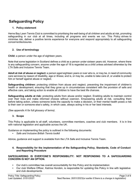# **Safeguarding Policy**

### **1. Policy statement**

Herne Bay Lawn Tennis Club is committed to prioritising the well-being of all children and adults at risk, promoting safeguarding in our club at all times, including all programs and events we run. This Policy strives to minimise risk, deliver a positive tennis experience for everyone and respond appropriately to all safeguarding concerns/disclosures.

### **2. Use of terminology**

**Child:** a person under the age of eighteen years.

Note that some legislation in Scotland defines a child as a person under sixteen years old. However, where there is any safeguarding concern, anyone under the age of 18 is regarded as a child unless advised otherwise by the LTA Safe and Inclusive Tennis Team.

**Adult at risk of abuse or neglect:** a person aged eighteen years or over who is, or may be, in need of community care services by reason of disability, age or illness; and is, or may be, unable to take care of, or unable to protect him or herself against abuse or neglect.

**Safeguarding children:** protecting children from abuse and neglect, preventing the impairment of children's health or development, ensuring that they grow up in circumstances consistent with the provision of safe and effective care, and taking action to enable all children to have the best life chances.

**Safeguarding adults at risk:** protecting adults from abuse and/or neglect. Enabling adults to maintain control over their lives and make informed choices without coercion. Empowering adults at risk, consulting them before taking action, unless someone lacks the capacity to make a decision, or their mental health poses a risk to their own or someone else's safety, in which case, always acting in his or her best interests.

*(See appendix A for full glossary of terms)*.

### **3. Scope**

This Policy is applicable to all staff, volunteers, committee members, coaches and club members. It is in line with national legislation and applicable across the UK.

Guidance on implementing the policy is outlined in the following documents:

• *Safe and Inclusive British Tennis toolkit*

Advice, guidance and support is available from the LTA Safe and Inclusive Tennis Team.

**4. Responsibility for the implementation of the Safeguarding Policy, Standards, Code of Conduct and Reporting Procedure**

### **SAFEGUARDING IS EVERYONE'S RESPONSIBILITY: NOT RESPONDING TO A SAFEGUARDING CONCERN IS NOT AN OPTION.**

- Our club's committee has overall accountability for this Policy and its implementation
- Our club Welfare Officer, Katrina Horobin, is responsible for updating this Policy in line with legislative and club developments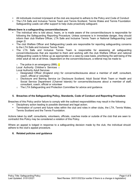- All individuals involved in/present at the club are required to adhere to the Policy and Code of Conduct
- The LTA Safe and Inclusive Tennis Team and Tennis Scotland, Tennis Wales and Tennis Foundation Safeguarding Leads can offer support to help clubs proactively safeguard.

### **Where there is a safeguarding concern/disclosure:**

- The individual who is told about, hears, or is made aware of the concern/disclosure is responsible for following the Safeguarding Reporting Procedure. Unless someone is in immediate danger, they should inform their club Welfare Officer, LTA Safe and Inclusive Tennis Team or National Safeguarding Lead *(page 2)*
- The club Welfare Officer and Safeguarding Leads are responsible for reporting safeguarding concerns to the LTA Safe and Inclusive Tennis Team
- The LTA Safe and Inclusive Tennis Team is responsible for assessing all safeguarding concern/disclosures that are reported to them and working with the club Welfare Officer and national Safeguarding Leads to follow up as appropriate on a case-by-case basis, prioritising the well-being of the child/ adult at risk at all times. Dependent on the concern/disclosure, a referral may be made to:
	- $\circ$  The police in an emergency (999);  $\circ$

Local Authority Children's Services o

Local Authority Adult Services

- o Designated Officer (England only) for concerns/disclosures about a member of staff, consultant, coach, official or volunteer
- o Disclosure and Barring Service (or Disclosure Scotland; Adult Social Work Team or Health and Social Service Department (Channel Islands) for concerns/disclosures about a member of staff, consultant, coach, official or volunteer
- o The LTA Safeguarding and Protection Committee for advice and guidance.

### **5. Breaches of the Safeguarding Policy, Standards, Code of Conduct and Reporting Procedure**

Breaches of this Policy and/or failure to comply with the outlined responsibilities may result in the following:

- Disciplinary action leading to possible dismissal and legal action;
- Termination of current and future roles within the club and roles in other clubs, the LTA, Tennis Wales, Tennis Scotland and the Tennis Foundation*.*

Actions taken by staff, consultants, volunteers, officials, coaches inside or outside of the club that are seen to contradict this Policy may be considered a violation of this Policy.

Where an appeal is lodged in response to a safeguarding decision made by the club, the individual should adhere to the club's appeal procedure.

### **6. Related policies and guidance**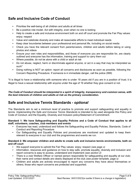## **Safe and Inclusive Code of Conduct**

- Prioritise the well-being of all children and adults at all times
- Be a positive role model. Act with integrity, even when no one is looking
- Help to create a safe and inclusive environment both on and off court and promote the Fair Play values: enjoy; respect
- Value and celebrate diversity and make all reasonable efforts to meet individual needs
- Keep clear boundaries between your professional and personal life, including on social media
- Check you have the relevant consent from parents/carers, children and adults before taking or using photos and videos
- Ensure your own roles and responsibilities, and those of everyone you are responsible for, are clearly outlined and everyone has the information, training and support to carry them out
- Where possible, do not be alone with a child or adult at risk
- Do not abuse, neglect, harm or discriminate against anyone; or act in a way that may be interpreted as such\*
- Doing nothing is NOT an option: report all concerns and disclosures as soon as possible, following the Concern Reporting Procedure. If someone is in immediate danger, call the police (999)

\*It is illegal to have a relationship with someone who is under 18 years old if you are in a position of trust; it is illegal to have a sexual relationship with anyone under the age of 16 whether they give consent or not.

### *The Code of Conduct should be interpreted in a spirit of integrity, transparency and common sense, with the best interests of children and adults at risk as the primary consideration.*

### **Safe and Inclusive Tennis Standards -** *optional*

The Standards aim to set a minimum level of practice to promote and support safeguarding and equality in tennis. *Implementing the Safe and Inclusive Tennis Standards* is intended to be used alongside this Policy and Code of Conduct; and the Equality, Diversity and Inclusion policy/Statement of Commitment.

### **Standard 1: We have Safeguarding and Equality Policies and a Code of Conduct that applies to all staff, volunteers, coaches, club members and events**

- Everyone has read, understood and follows the Safeguarding and Equality Policies, Standards, Code of Conduct and Reporting Procedure
- Our Safeguarding and Equality Policies and procedures are monitored and updated to keep them relevant to everyone in our club and the programmes and events we run.

### **Standard 2: We empower children and adults to create safe and inclusive tennis environments, both on and off court**

- We support everyone to uphold the Fair Play values: enjoy; respect *(see page x)*
- Information, resources and guidance on how to stay safe, promote equality, diversity and inclusion and report concerns is easy to access, understand and implement *(see section 2)*
- There is a club Welfare Officer or named person responsible for safeguarding and equality at our club; their name and contact details are clearly displayed at the club *(see poster template, page x)*
- Children and adults are actively encouraged to report any concerns they have about themselves or others; those who report concerns are protected and supported.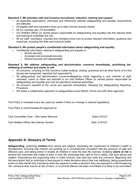### **Standard 3: We prioritise safe and inclusive recruitment, induction, training and support**

- All applicable applications, interviews and references address safeguarding and equality requirements and attitudes
- All eligible staff and volunteers have up to date criminal records checks
- All our coaches are LTA-accredited
- Our Welfare Officer (or named person responsible for safeguarding and equality) has the relevant skills and training to undertake the role
- All our staff, volunteers, coaches and members know how to access relevant information, guidance and resources, including the Safe and Inclusive toolkit.

#### **Standard 4: We protect people's confidential information about safeguarding and equality**

- Confidential information relating to safeguarding and equality is:
	- o Stored securely
	- o Accessed and processed securely
	- o Shared securely and appropriately

#### **Standard 5: We address safeguarding and discrimination concerns immediately, prioritising the wellbeing of children and adults at risk**

- All concerns, including on-line concerns (cyber-bullying, sexting, grooming and all other forms of on-line abuse) are recognised, reported and responded to
- All safequarding and discrimination concerns/allegations made regarding a club member of staff, volunteer, coach or visitor are reported to our club Welfare Officer (or named person responsible for safeguarding and equality and may be reported to external authorities
- All concerns reported to the venue are reported immediately, following the Safeguarding Reporting Procedure
- We foster a collaborative approach to safeguarding across British Tennis and with other agencies.

This Policy is reviewed every two years [or earlier if there is a change in national legislation].

This Policy is recommended for approval by:

| Club Committee Chair – Mrs Isobel Warnock | Date:31/01/21  |
|-------------------------------------------|----------------|
| Club Welfare Officer Mrs Katrina Horobin  | Date: 31/01/21 |

### **Appendix A: Glossary of Terms**

**Safeguarding:** protecting **children** from abuse and neglect, preventing the impairment of children's health or development, ensuring that children are growing up in circumstances consistent with the provision of safe and effective care, and taking action to enable all children to have the best life chances. Enabling **adults at risk** to achieve the outcomes that matter to them in their life; protecting their right to live in safety, free from abuse and neglect. Empowering and supporting them to make choices, stay safe and raise any concerns. Beginning with the assumption that an individual is best-placed to make decisions about their own wellbeing, taking proportional action on their behalf only if someone lacks the capacity to make a decision, they are exposed to a life-threatening risk, someone else may be at risk of harm, or a criminal offence has been committed or is likely to be committed.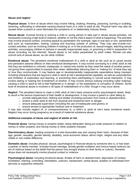### **Abuse and neglect**

**Physical abuse:** A form of abuse which may involve hitting, shaking, throwing, poisoning, burning or scalding, drowning, suffocating or otherwise causing physical harm to a child or adult at risk. Physical harm may also be caused when a parent or carer fabricates the symptoms of, or deliberately induces illness

**Sexual abuse:** Involves forcing or enticing a child or young person to take part in abuse sexual activities, not necessarily involving a high level of violence, whether or not the child is aware of what is happening. The activities may involve physical contact, including assault by penetration (for example, rape or oral sex) or non- penetrative acts such as masturbation, kissing, rubbing and touching outside of clothing. They may also include noncontact activities, such as involving children in looking at, or in the production of, sexual images, watching sexual activities, encouraging children to behave in sexually inappropriate ways, or grooming a child in preparation for abuse (including via the internet). Sexual abuse is not solely perpetrated by adult males. Women can also commit acts of sexual abuse, as can other children

**Emotional abuse:** The persistent emotional maltreatment of a child or adult at risk such as to cause severe and persistent adverse effects on their emotional development. It may involve conveying to a child/ adult at risk that they are worthless or unloved, inadequate, or valued only insofar as they meet the needs of another person; not giving them opportunities to express their views; deliberately silencing them or 'making fun' of what they say or how they communicate. It may feature age or developmentally inappropriate expectations being imposed, including interactions that are beyond a child or adult at risk's developmental capability, as well as overprotection and limitation of exploration and learning, or preventing them participating in normal social interaction. It may involve seeing or hearing the ill-treatment of another. It may involve serious bullying (including cyber bullying), causing a child or adult at risk to feel frightened or in danger, or the exploitation or corruption of children. Some level of emotional abuse is involved in all types of maltreatment of a child, though it may occur alone.

**Neglect:** The persistent failure to meet a child/ adult at risk's basic physical and/or psychological needs, likely to result in the serious impairment of their health or development. It may involve a parent or carer failing to:

- o provide adequate food, clothing and shelter (including exclusion from home or abandonment);
- o protect a child/ adult at risk from physical and emotional harm or danger;
- $\circ$  ensure adequate supervision (including the use of inadequate care-givers); or
- o ensure access to appropriate medical care or treatment.

It may also include neglect of, or unresponsiveness to, a child's or adult at risk's basic emotional needs. Neglect may occur during pregnancy as a result of maternal substance abuse.

### **Additional examples of abuse and neglect of adults at risk**

**Financial abuse**: having money or property stolen; being defrauded; being put under pressure in relation to money or other property; and having money or other property misused.

**Discriminatory abuse**: treating someone in a less favourable way and causing them harm, because of their age, gender, sexuality, gender identity, disability, socio-economic status, ethnic origin, religion and any other visible or non-visible difference.

**Domestic abuse**: includes physical, sexual, psychological or financial abuse by someone who is, or has been a partner or family member. Includes forced marriage, female genital mutilation and honour-based violence (an act of violence based on the belief that the person has brought shame on their family or culture). Domestic abuse does not necessarily involve physical contact or violence.

**Psychological abuse:** including emotional abuse, threats of harm or abandonment, deprivation of contact, humiliation, blaming, controlling, intimidation, coercion, harassment, verbal abuse, isolation or withdrawal from services or supportive networks.